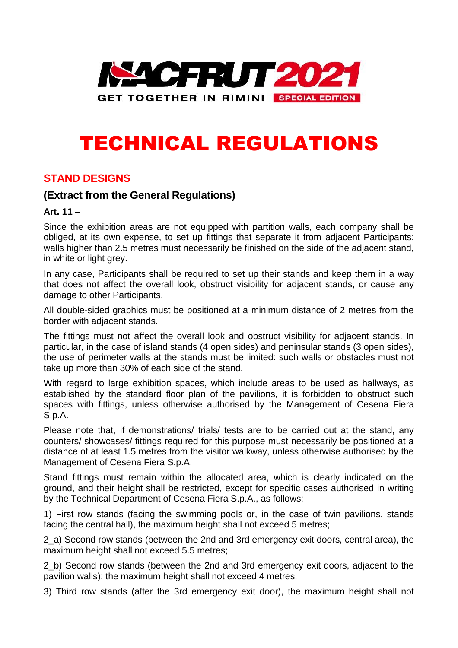

# TECHNICAL REGULATIONS

### **STAND DESIGNS**

### **(Extract from the General Regulations)**

#### **Art. 11 –**

Since the exhibition areas are not equipped with partition walls, each company shall be obliged, at its own expense, to set up fittings that separate it from adjacent Participants; walls higher than 2.5 metres must necessarily be finished on the side of the adjacent stand, in white or light grey.

In any case, Participants shall be required to set up their stands and keep them in a way that does not affect the overall look, obstruct visibility for adjacent stands, or cause any damage to other Participants.

All double-sided graphics must be positioned at a minimum distance of 2 metres from the border with adjacent stands.

The fittings must not affect the overall look and obstruct visibility for adjacent stands. In particular, in the case of island stands (4 open sides) and peninsular stands (3 open sides), the use of perimeter walls at the stands must be limited: such walls or obstacles must not take up more than 30% of each side of the stand.

With regard to large exhibition spaces, which include areas to be used as hallways, as established by the standard floor plan of the pavilions, it is forbidden to obstruct such spaces with fittings, unless otherwise authorised by the Management of Cesena Fiera S.p.A.

Please note that, if demonstrations/ trials/ tests are to be carried out at the stand, any counters/ showcases/ fittings required for this purpose must necessarily be positioned at a distance of at least 1.5 metres from the visitor walkway, unless otherwise authorised by the Management of Cesena Fiera S.p.A.

Stand fittings must remain within the allocated area, which is clearly indicated on the ground, and their height shall be restricted, except for specific cases authorised in writing by the Technical Department of Cesena Fiera S.p.A., as follows:

1) First row stands (facing the swimming pools or, in the case of twin pavilions, stands facing the central hall), the maximum height shall not exceed 5 metres;

2\_a) Second row stands (between the 2nd and 3rd emergency exit doors, central area), the maximum height shall not exceed 5.5 metres;

2\_b) Second row stands (between the 2nd and 3rd emergency exit doors, adjacent to the pavilion walls): the maximum height shall not exceed 4 metres;

3) Third row stands (after the 3rd emergency exit door), the maximum height shall not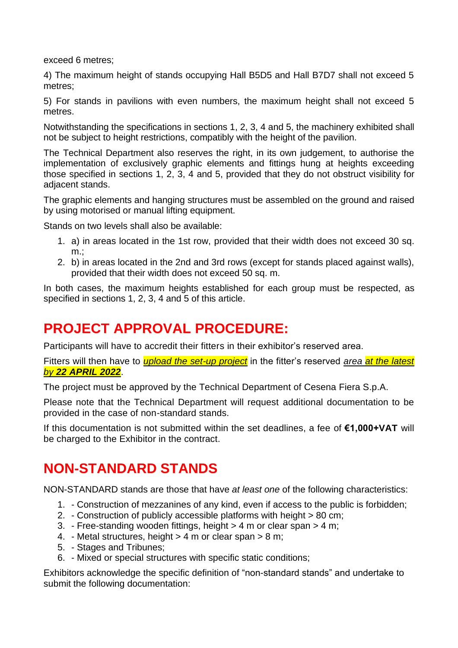exceed 6 metres;

4) The maximum height of stands occupying Hall B5D5 and Hall B7D7 shall not exceed 5 metres;

5) For stands in pavilions with even numbers, the maximum height shall not exceed 5 metres.

Notwithstanding the specifications in sections 1, 2, 3, 4 and 5, the machinery exhibited shall not be subject to height restrictions, compatibly with the height of the pavilion.

The Technical Department also reserves the right, in its own judgement, to authorise the implementation of exclusively graphic elements and fittings hung at heights exceeding those specified in sections 1, 2, 3, 4 and 5, provided that they do not obstruct visibility for adjacent stands.

The graphic elements and hanging structures must be assembled on the ground and raised by using motorised or manual lifting equipment.

Stands on two levels shall also be available:

- 1. a) in areas located in the 1st row, provided that their width does not exceed 30 sq.  $m$ .:
- 2. b) in areas located in the 2nd and 3rd rows (except for stands placed against walls), provided that their width does not exceed 50 sq. m.

In both cases, the maximum heights established for each group must be respected, as specified in sections 1, 2, 3, 4 and 5 of this article.

# **PROJECT APPROVAL PROCEDURE:**

Participants will have to accredit their fitters in their exhibitor's reserved area.

Fitters will then have to *upload the set-up project* in the fitter's reserved *area at the latest by 22 APRIL 2022*.

The project must be approved by the Technical Department of Cesena Fiera S.p.A.

Please note that the Technical Department will request additional documentation to be provided in the case of non-standard stands.

If this documentation is not submitted within the set deadlines, a fee of **€1,000+VAT** will be charged to the Exhibitor in the contract.

### **NON-STANDARD STANDS**

NON-STANDARD stands are those that have *at least one* of the following characteristics:

- 1. Construction of mezzanines of any kind, even if access to the public is forbidden;
- 2. Construction of publicly accessible platforms with height > 80 cm;
- 3. Free-standing wooden fittings, height > 4 m or clear span > 4 m;
- 4. Metal structures, height > 4 m or clear span > 8 m;
- 5. Stages and Tribunes;
- 6. Mixed or special structures with specific static conditions;

Exhibitors acknowledge the specific definition of "non-standard stands" and undertake to submit the following documentation: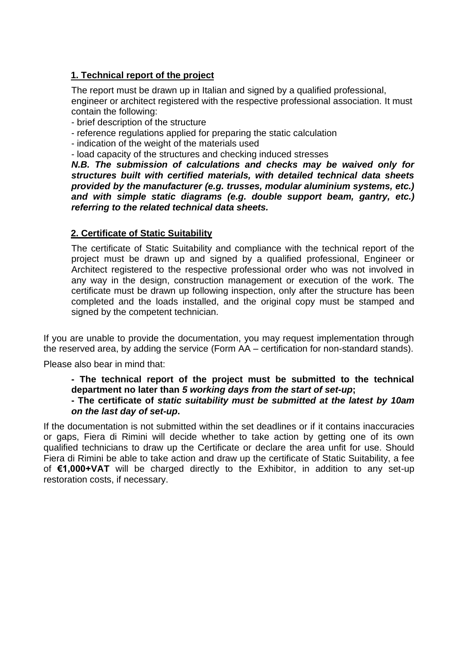### **1. Technical report of the project**

The report must be drawn up in Italian and signed by a qualified professional, engineer or architect registered with the respective professional association. It must contain the following:

- brief description of the structure

- reference regulations applied for preparing the static calculation
- indication of the weight of the materials used

- load capacity of the structures and checking induced stresses

*N.B. The submission of calculations and checks may be waived only for structures built with certified materials, with detailed technical data sheets provided by the manufacturer (e.g. trusses, modular aluminium systems, etc.) and with simple static diagrams (e.g. double support beam, gantry, etc.) referring to the related technical data sheets.*

#### **2. Certificate of Static Suitability**

The certificate of Static Suitability and compliance with the technical report of the project must be drawn up and signed by a qualified professional, Engineer or Architect registered to the respective professional order who was not involved in any way in the design, construction management or execution of the work. The certificate must be drawn up following inspection, only after the structure has been completed and the loads installed, and the original copy must be stamped and signed by the competent technician.

If you are unable to provide the documentation, you may request implementation through the reserved area, by adding the service (Form AA – certification for non-standard stands).

Please also bear in mind that:

**- The technical report of the project must be submitted to the technical department no later than** *5 working days from the start of set-up***;**

**- The certificate of** *static suitability must be submitted at the latest by 10am on the last day of set-up***.**

If the documentation is not submitted within the set deadlines or if it contains inaccuracies or gaps, Fiera di Rimini will decide whether to take action by getting one of its own qualified technicians to draw up the Certificate or declare the area unfit for use. Should Fiera di Rimini be able to take action and draw up the certificate of Static Suitability, a fee of **€1,000+VAT** will be charged directly to the Exhibitor, in addition to any set-up restoration costs, if necessary.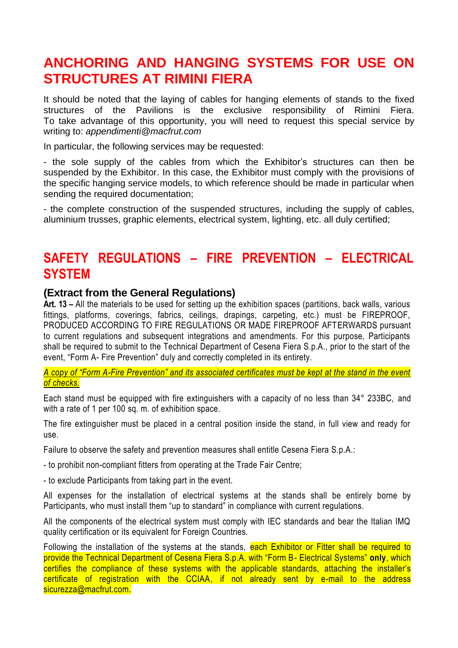### **ANCHORING AND HANGING SYSTEMS FOR USE ON STRUCTURES AT RIMINI FIERA**

It should be noted that the laying of cables for hanging elements of stands to the fixed structures of the Pavilions is the exclusive responsibility of Rimini Fiera. To take advantage of this opportunity, you will need to request this special service by writing to: *appendimenti@macfrut.com*

In particular, the following services may be requested:

- the sole supply of the cables from which the Exhibitor's structures can then be suspended by the Exhibitor. In this case, the Exhibitor must comply with the provisions of the specific hanging service models, to which reference should be made in particular when sending the required documentation;

- the complete construction of the suspended structures, including the supply of cables, aluminium trusses, graphic elements, electrical system, lighting, etc. all duly certified;

### **SAFETY REGULATIONS – FIRE PREVENTION – ELECTRICAL SYSTEM**

#### **(Extract from the General Regulations)**

**Art. 13 –** All the materials to be used for setting up the exhibition spaces (partitions, back walls, various fittings, platforms, coverings, fabrics, ceilings, drapings, carpeting, etc.) must be FIREPROOF, PRODUCED ACCORDING TO FIRE REGULATIONS OR MADE FIREPROOF AFTERWARDS pursuant to current regulations and subsequent integrations and amendments. For this purpose, Participants shall be required to submit to the Technical Department of Cesena Fiera S.p.A., prior to the start of the event, "Form A- Fire Prevention" duly and correctly completed in its entirety.

*A copy of "Form A-Fire Prevention" and its associated certificates must be kept at the stand in the event of checks.*

Each stand must be equipped with fire extinguishers with a capacity of no less than 34° 233BC, and with a rate of 1 per 100 sq. m. of exhibition space.

The fire extinguisher must be placed in a central position inside the stand, in full view and ready for use.

Failure to observe the safety and prevention measures shall entitle Cesena Fiera S.p.A.:

- to prohibit non-compliant fitters from operating at the Trade Fair Centre;

- to exclude Participants from taking part in the event.

All expenses for the installation of electrical systems at the stands shall be entirely borne by Participants, who must install them "up to standard" in compliance with current regulations.

All the components of the electrical system must comply with IEC standards and bear the Italian IMQ quality certification or its equivalent for Foreign Countries.

Following the installation of the systems at the stands, each Exhibitor or Fitter shall be required to provide the Technical Department of Cesena Fiera S.p.A. with "Form B- Electrical Systems" **only**, which certifies the compliance of these systems with the applicable standards, attaching the installer's certificate of registration with the CCIAA, if not already sent by e-mail to the address sicurezza@macfrut.com.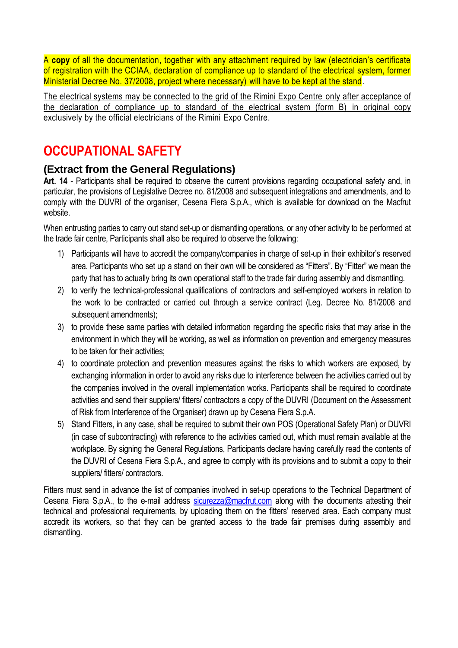A **copy** of all the documentation, together with any attachment required by law (electrician's certificate of registration with the CCIAA, declaration of compliance up to standard of the electrical system, former Ministerial Decree No. 37/2008, project where necessary) will have to be kept at the stand.

The electrical systems may be connected to the grid of the Rimini Expo Centre only after acceptance of the declaration of compliance up to standard of the electrical system (form B) in original copy exclusively by the official electricians of the Rimini Expo Centre.

# **OCCUPATIONAL SAFETY**

### **(Extract from the General Regulations)**

**Art. 14** - Participants shall be required to observe the current provisions regarding occupational safety and, in particular, the provisions of Legislative Decree no. 81/2008 and subsequent integrations and amendments, and to comply with the DUVRI of the organiser, Cesena Fiera S.p.A., which is available for download on the Macfrut website.

When entrusting parties to carry out stand set-up or dismantling operations, or any other activity to be performed at the trade fair centre, Participants shall also be required to observe the following:

- 1) Participants will have to accredit the company/companies in charge of set-up in their exhibitor's reserved area. Participants who set up a stand on their own will be considered as "Fitters". By "Fitter" we mean the party that has to actually bring its own operational staff to the trade fair during assembly and dismantling.
- 2) to verify the technical-professional qualifications of contractors and self-employed workers in relation to the work to be contracted or carried out through a service contract (Leg. Decree No. 81/2008 and subsequent amendments);
- 3) to provide these same parties with detailed information regarding the specific risks that may arise in the environment in which they will be working, as well as information on prevention and emergency measures to be taken for their activities;
- 4) to coordinate protection and prevention measures against the risks to which workers are exposed, by exchanging information in order to avoid any risks due to interference between the activities carried out by the companies involved in the overall implementation works. Participants shall be required to coordinate activities and send their suppliers/ fitters/ contractors a copy of the DUVRI (Document on the Assessment of Risk from Interference of the Organiser) drawn up by Cesena Fiera S.p.A.
- 5) Stand Fitters, in any case, shall be required to submit their own POS (Operational Safety Plan) or DUVRI (in case of subcontracting) with reference to the activities carried out, which must remain available at the workplace. By signing the General Regulations, Participants declare having carefully read the contents of the DUVRI of Cesena Fiera S.p.A., and agree to comply with its provisions and to submit a copy to their suppliers/ fitters/ contractors.

Fitters must send in advance the list of companies involved in set-up operations to the Technical Department of Cesena Fiera S.p.A., to the e-mail address [sicurezza@macfrut.com](mailto:sicurezza@macfrut.com) along with the documents attesting their technical and professional requirements, by uploading them on the fitters' reserved area. Each company must accredit its workers, so that they can be granted access to the trade fair premises during assembly and dismantling.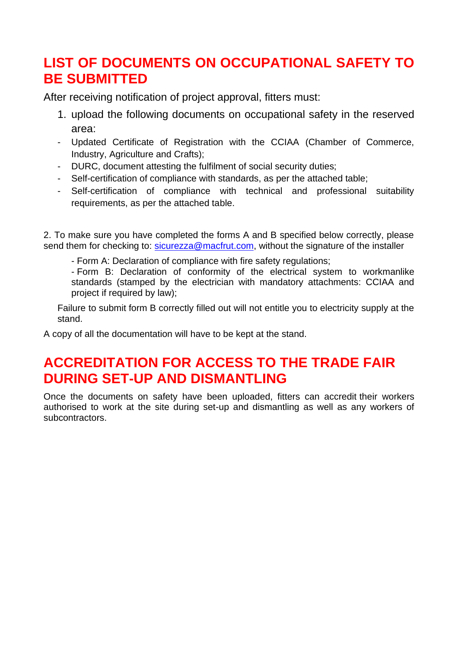# **LIST OF DOCUMENTS ON OCCUPATIONAL SAFETY TO BE SUBMITTED**

After receiving notification of project approval, fitters must:

- 1. upload the following documents on occupational safety in the reserved area:
- Updated Certificate of Registration with the CCIAA (Chamber of Commerce, Industry, Agriculture and Crafts);
- DURC, document attesting the fulfilment of social security duties;
- Self-certification of compliance with standards, as per the attached table;
- Self-certification of compliance with technical and professional suitability requirements, as per the attached table.

2. To make sure you have completed the forms A and B specified below correctly, please send them for checking to: [sicurezza@macfrut.com,](mailto:sicurezza@macfrut.com) without the signature of the installer

- Form A: Declaration of compliance with fire safety regulations;

- Form B: Declaration of conformity of the electrical system to workmanlike standards (stamped by the electrician with mandatory attachments: CCIAA and project if required by law);

Failure to submit form B correctly filled out will not entitle you to electricity supply at the stand.

A copy of all the documentation will have to be kept at the stand.

## **ACCREDITATION FOR ACCESS TO THE TRADE FAIR DURING SET-UP AND DISMANTLING**

Once the documents on safety have been uploaded, fitters can accredit their workers authorised to work at the site during set-up and dismantling as well as any workers of subcontractors.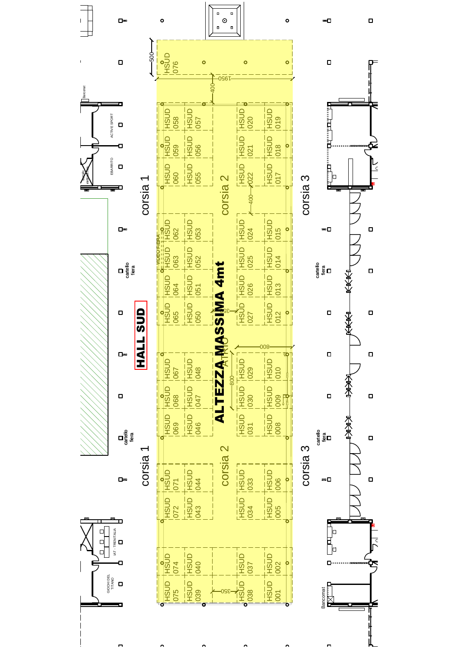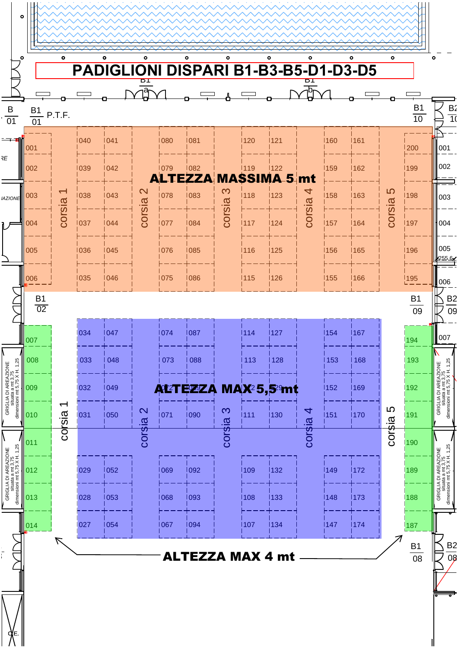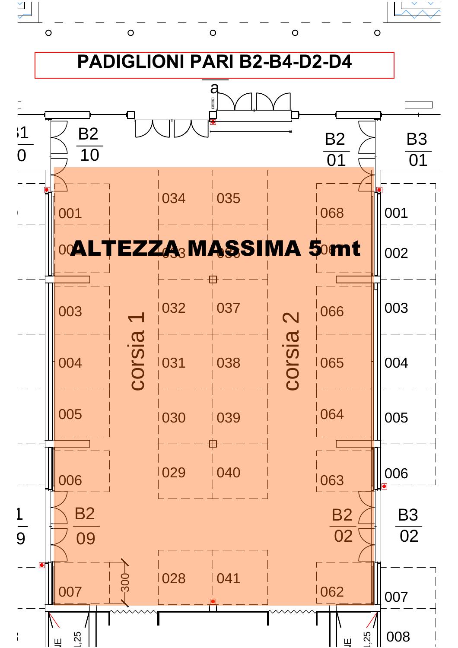